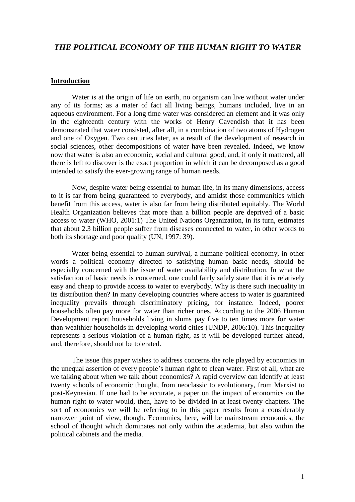# *THE POLITICAL ECONOMY OF THE HUMAN RIGHT TO WATER*

#### **Introduction**

 Water is at the origin of life on earth, no organism can live without water under any of its forms; as a mater of fact all living beings, humans included, live in an aqueous environment. For a long time water was considered an element and it was only in the eighteenth century with the works of Henry Cavendish that it has been demonstrated that water consisted, after all, in a combination of two atoms of Hydrogen and one of Oxygen. Two centuries later, as a result of the development of research in social sciences, other decompositions of water have been revealed. Indeed, we know now that water is also an economic, social and cultural good, and, if only it mattered, all there is left to discover is the exact proportion in which it can be decomposed as a good intended to satisfy the ever-growing range of human needs.

 Now, despite water being essential to human life, in its many dimensions, access to it is far from being guaranteed to everybody, and amidst those communities which benefit from this access, water is also far from being distributed equitably. The World Health Organization believes that more than a billion people are deprived of a basic access to water (WHO, 2001:1) The United Nations Organization, in its turn, estimates that about 2.3 billion people suffer from diseases connected to water, in other words to both its shortage and poor quality (UN, 1997: 39).

 Water being essential to human survival, a humane political economy, in other words a political economy directed to satisfying human basic needs, should be especially concerned with the issue of water availability and distribution. In what the satisfaction of basic needs is concerned, one could fairly safely state that it is relatively easy and cheap to provide access to water to everybody. Why is there such inequality in its distribution then? In many developing countries where access to water is guaranteed inequality prevails through discriminatory pricing, for instance. Indeed, poorer households often pay more for water than richer ones. According to the 2006 Human Development report households living in slums pay five to ten times more for water than wealthier households in developing world cities (UNDP, 2006:10). This inequality represents a serious violation of a human right, as it will be developed further ahead, and, therefore, should not be tolerated.

 The issue this paper wishes to address concerns the role played by economics in the unequal assertion of every people's human right to clean water. First of all, what are we talking about when we talk about economics? A rapid overview can identify at least twenty schools of economic thought, from neoclassic to evolutionary, from Marxist to post-Keynesian. If one had to be accurate, a paper on the impact of economics on the human right to water would, then, have to be divided in at least twenty chapters. The sort of economics we will be referring to in this paper results from a considerably narrower point of view, though. Economics, here, will be mainstream economics, the school of thought which dominates not only within the academia, but also within the political cabinets and the media.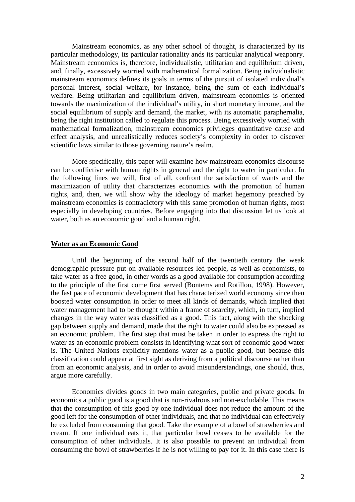Mainstream economics, as any other school of thought, is characterized by its particular methodology, its particular rationality ands its particular analytical weaponry. Mainstream economics is, therefore, individualistic, utilitarian and equilibrium driven, and, finally, excessively worried with mathematical formalization. Being individualistic mainstream economics defines its goals in terms of the pursuit of isolated individual's personal interest, social welfare, for instance, being the sum of each individual's welfare. Being utilitarian and equilibrium driven, mainstream economics is oriented towards the maximization of the individual's utility, in short monetary income, and the social equilibrium of supply and demand, the market, with its automatic paraphernalia, being the right institution called to regulate this process. Being excessively worried with mathematical formalization, mainstream economics privileges quantitative cause and effect analysis, and unrealistically reduces society's complexity in order to discover scientific laws similar to those governing nature's realm.

 More specifically, this paper will examine how mainstream economics discourse can be conflictive with human rights in general and the right to water in particular. In the following lines we will, first of all, confront the satisfaction of wants and the maximization of utility that characterizes economics with the promotion of human rights, and, then, we will show why the ideology of market hegemony preached by mainstream economics is contradictory with this same promotion of human rights, most especially in developing countries. Before engaging into that discussion let us look at water, both as an economic good and a human right.

#### **Water as an Economic Good**

 Until the beginning of the second half of the twentieth century the weak demographic pressure put on available resources led people, as well as economists, to take water as a free good, in other words as a good available for consumption according to the principle of the first come first served (Bontems and Rotillon, 1998). However, the fast pace of economic development that has characterized world economy since then boosted water consumption in order to meet all kinds of demands, which implied that water management had to be thought within a frame of scarcity, which, in turn, implied changes in the way water was classified as a good. This fact, along with the shocking gap between supply and demand, made that the right to water could also be expressed as an economic problem. The first step that must be taken in order to express the right to water as an economic problem consists in identifying what sort of economic good water is. The United Nations explicitly mentions water as a public good, but because this classification could appear at first sight as deriving from a political discourse rather than from an economic analysis, and in order to avoid misunderstandings, one should, thus, argue more carefully.

 Economics divides goods in two main categories, public and private goods. In economics a public good is a good that is non-rivalrous and non-excludable. This means that the consumption of this good by one individual does not reduce the amount of the good left for the consumption of other individuals, and that no individual can effectively be excluded from consuming that good. Take the example of a bowl of strawberries and cream. If one individual eats it, that particular bowl ceases to be available for the consumption of other individuals. It is also possible to prevent an individual from consuming the bowl of strawberries if he is not willing to pay for it. In this case there is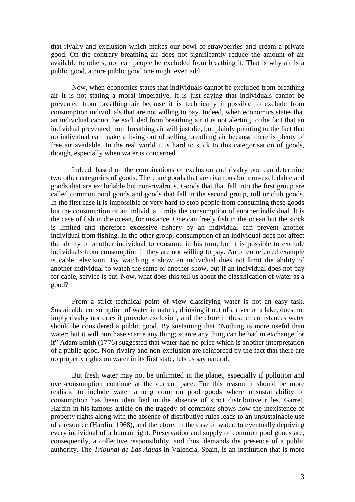that rivalry and exclusion which makes our bowl of strawberries and cream a private good. On the contrary breathing air does not significantly reduce the amount of air available to others, nor can people be excluded from breathing it. That is why air is a public good, a pure public good one might even add.

 Now, when economics states that individuals cannot be excluded from breathing air it is not stating a moral imperative, it is just saying that individuals cannot be prevented from breathing air because it is technically impossible to exclude from consumption individuals that are not willing to pay. Indeed, when economics states that an individual cannot be excluded from breathing air it is not alerting to the fact that an individual prevented from breathing air will just die, but plainly pointing to the fact that no individual can make a living out of selling breathing air because there is plenty of free air available. In the real world it is hard to stick to this categorisation of goods, though, especially when water is concerned.

 Indeed, based on the combinations of exclusion and rivalry one can determine two other categories of goods. There are goods that are rivalrous but non-excludable and goods that are excludable but non-rivalrous. Goods that that fall into the first group are called common pool goods and goods that fall in the second group, toll or club goods. In the first case it is impossible or very hard to stop people from consuming these goods but the consumption of an individual limits the consumption of another individual. It is the case of fish in the ocean, for instance. One can freely fish in the ocean but the stock is limited and therefore excessive fishery by an individual can prevent another individual from fishing. In the other group, consumption of an individual does not affect the ability of another individual to consume in his turn, but it is possible to exclude individuals from consumption if they are not willing to pay. An often referred example is cable television. By watching a show an individual does not limit the ability of another individual to watch the same or another show, but if an individual does not pay for cable, service is cut. Now, what does this tell us about the classification of water as a good?

 From a strict technical point of view classifying water is not an easy task. Sustainable consumption of water in nature, drinking it out of a river or a lake, does not imply rivalry nor does it provoke exclusion, and therefore in these circumstances water should be considered a public good. By sustaining that "Nothing is more useful than water: but it will purchase scarce any thing; scarce any thing can be had in exchange for it" Adam Smith (1776) suggested that water had no price which is another interpretation of a public good. Non-rivalry and non-exclusion are reinforced by the fact that there are no property rights on water in its first state, lets us say natural.

 But fresh water may not be unlimited in the planet, especially if pollution and over-consumption continue at the current pace. For this reason it should be more realistic to include water among common pool goods where unsustainability of consumption has been identified in the absence of strict distributive rules. Garrett Hardin in his famous article on the tragedy of commons shows how the inexistence of property rights along with the absence of distributive rules leads to an unsustainable use of a resource (Hardin, 1968), and therefore, in the case of water, to eventually depriving every individual of a human right. Preservation and supply of common pool goods are, consequently, a collective responsibility, and thus, demands the presence of a public authority. The *Tribunal de Las Águas* in Valencia, Spain, is an institution that is more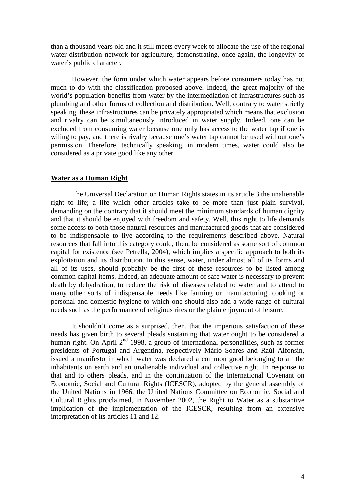than a thousand years old and it still meets every week to allocate the use of the regional water distribution network for agriculture, demonstrating, once again, the longevity of water's public character.

 However, the form under which water appears before consumers today has not much to do with the classification proposed above. Indeed, the great majority of the world's population benefits from water by the intermediation of infrastructures such as plumbing and other forms of collection and distribution. Well, contrary to water strictly speaking, these infrastructures can be privately appropriated which means that exclusion and rivalry can be simultaneously introduced in water supply. Indeed, one can be excluded from consuming water because one only has access to the water tap if one is willing to pay, and there is rivalry because one's water tap cannot be used without one's permission. Therefore, technically speaking, in modern times, water could also be considered as a private good like any other.

#### **Water as a Human Right**

 The Universal Declaration on Human Rights states in its article 3 the unalienable right to life; a life which other articles take to be more than just plain survival, demanding on the contrary that it should meet the minimum standards of human dignity and that it should be enjoyed with freedom and safety. Well, this right to life demands some access to both those natural resources and manufactured goods that are considered to be indispensable to live according to the requirements described above. Natural resources that fall into this category could, then, be considered as some sort of common capital for existence (see Petrella, 2004), which implies a specific approach to both its exploitation and its distribution. In this sense, water, under almost all of its forms and all of its uses, should probably be the first of these resources to be listed among common capital items. Indeed, an adequate amount of safe water is necessary to prevent death by dehydration, to reduce the risk of diseases related to water and to attend to many other sorts of indispensable needs like farming or manufacturing, cooking or personal and domestic hygiene to which one should also add a wide range of cultural needs such as the performance of religious rites or the plain enjoyment of leisure.

 It shouldn't come as a surprised, then, that the imperious satisfaction of these needs has given birth to several pleads sustaining that water ought to be considered a human right. On April  $2<sup>nd</sup>$  1998, a group of international personalities, such as former presidents of Portugal and Argentina, respectively Mário Soares and Raúl Alfonsin, issued a manifesto in which water was declared a common good belonging to all the inhabitants on earth and an unalienable individual and collective right. In response to that and to others pleads, and in the continuation of the International Covenant on Economic, Social and Cultural Rights (ICESCR), adopted by the general assembly of the United Nations in 1966, the United Nations Committee on Economic, Social and Cultural Rights proclaimed, in November 2002, the Right to Water as a substantive implication of the implementation of the ICESCR, resulting from an extensive interpretation of its articles 11 and 12.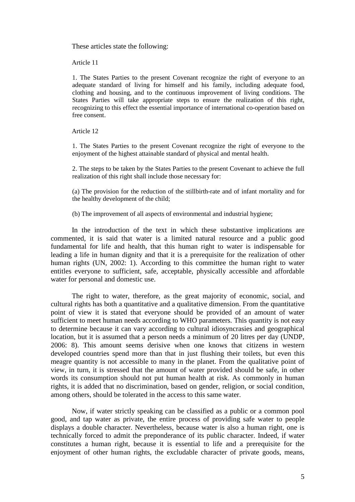These articles state the following:

Article 11

1. The States Parties to the present Covenant recognize the right of everyone to an adequate standard of living for himself and his family, including adequate food, clothing and housing, and to the continuous improvement of living conditions. The States Parties will take appropriate steps to ensure the realization of this right, recognizing to this effect the essential importance of international co-operation based on free consent.

Article 12

1. The States Parties to the present Covenant recognize the right of everyone to the enjoyment of the highest attainable standard of physical and mental health.

2. The steps to be taken by the States Parties to the present Covenant to achieve the full realization of this right shall include those necessary for:

(a) The provision for the reduction of the stillbirth-rate and of infant mortality and for the healthy development of the child;

(b) The improvement of all aspects of environmental and industrial hygiene;

 In the introduction of the text in which these substantive implications are commented, it is said that water is a limited natural resource and a public good fundamental for life and health, that this human right to water is indispensable for leading a life in human dignity and that it is a prerequisite for the realization of other human rights (UN, 2002: 1). According to this committee the human right to water entitles everyone to sufficient, safe, acceptable, physically accessible and affordable water for personal and domestic use.

 The right to water, therefore, as the great majority of economic, social, and cultural rights has both a quantitative and a qualitative dimension. From the quantitative point of view it is stated that everyone should be provided of an amount of water sufficient to meet human needs according to WHO parameters. This quantity is not easy to determine because it can vary according to cultural idiosyncrasies and geographical location, but it is assumed that a person needs a minimum of 20 litres per day (UNDP, 2006: 8). This amount seems derisive when one knows that citizens in western developed countries spend more than that in just flushing their toilets, but even this meagre quantity is not accessible to many in the planet. From the qualitative point of view, in turn, it is stressed that the amount of water provided should be safe, in other words its consumption should not put human health at risk. As commonly in human rights, it is added that no discrimination, based on gender, religion, or social condition, among others, should be tolerated in the access to this same water.

 Now, if water strictly speaking can be classified as a public or a common pool good, and tap water as private, the entire process of providing safe water to people displays a double character. Nevertheless, because water is also a human right, one is technically forced to admit the preponderance of its public character. Indeed, if water constitutes a human right, because it is essential to life and a prerequisite for the enjoyment of other human rights, the excludable character of private goods, means,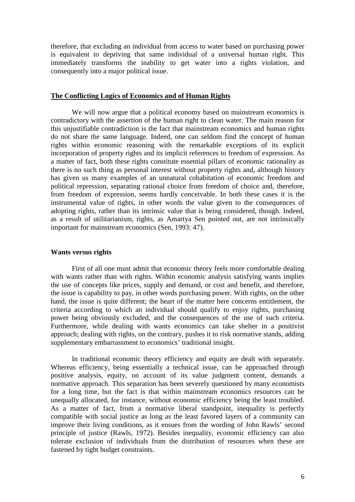therefore, that excluding an individual from access to water based on purchasing power is equivalent to depriving that same individual of a universal human right. This immediately transforms the inability to get water into a rights violation, and consequently into a major political issue.

## **The Conflicting Logics of Economics and of Human Rights**

 We will now argue that a political economy based on mainstream economics is contradictory with the assertion of the human right to clean water. The main reason for this unjustifiable contradiction is the fact that mainstream economics and human rights do not share the same language. Indeed, one can seldom find the concept of human rights within economic reasoning with the remarkable exceptions of its explicit incorporation of property rights and its implicit references to freedom of expression. As a matter of fact, both these rights constitute essential pillars of economic rationality as there is no such thing as personal interest without property rights and, although history has given us many examples of an unnatural cohabitation of economic freedom and political repression, separating rational choice from freedom of choice and, therefore, from freedom of expression, seems hardly conceivable. In both these cases it is the instrumental value of rights, in other words the value given to the consequences of adopting rights, rather than its intrinsic value that is being considered, though. Indeed, as a result of utilitarianism, rights, as Amartya Sen pointed out, are not intrinsically important for mainstream economics (Sen, 1993: 47).

### **Wants versus rights**

 First of all one must admit that economic theory feels more comfortable dealing with wants rather than with rights. Within economic analysis satisfying wants implies the use of concepts like prices, supply and demand, or cost and benefit, and therefore, the issue is capability to pay, in other words purchasing power. With rights, on the other hand, the issue is quite different; the heart of the matter here concerns entitlement, the criteria according to which an individual should qualify to enjoy rights, purchasing power being obviously excluded, and the consequences of the use of such criteria. Furthermore, while dealing with wants economics can take shelter in a positivist approach; dealing with rights, on the contrary, pushes it to risk normative stands, adding supplementary embarrassment to economics' traditional insight.

 In traditional economic theory efficiency and equity are dealt with separately. Whereas efficiency, being essentially a technical issue, can be approached through positive analysis, equity, on account of its value judgment content, demands a normative approach. This separation has been severely questioned by many economists for a long time, but the fact is that within mainstream economics resources can be unequally allocated, for instance, without economic efficiency being the least troubled. As a matter of fact, from a normative liberal standpoint, inequality is perfectly compatible with social justice as long as the least favored layers of a community can improve their living conditions, as it ensues from the wording of John Rawls' second principle of justice (Rawls, 1972). Besides inequality, economic efficiency can also tolerate exclusion of individuals from the distribution of resources when these are fastened by tight budget constraints.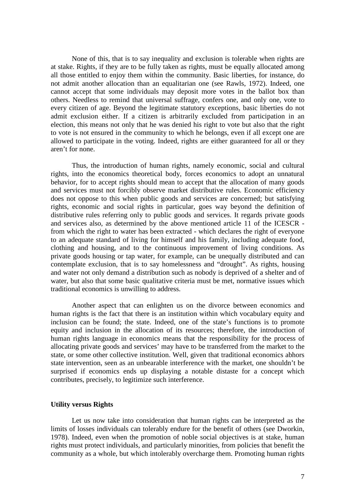None of this, that is to say inequality and exclusion is tolerable when rights are at stake. Rights, if they are to be fully taken as rights, must be equally allocated among all those entitled to enjoy them within the community. Basic liberties, for instance, do not admit another allocation than an equalitarian one (see Rawls, 1972). Indeed, one cannot accept that some individuals may deposit more votes in the ballot box than others. Needless to remind that universal suffrage, confers one, and only one, vote to every citizen of age. Beyond the legitimate statutory exceptions, basic liberties do not admit exclusion either. If a citizen is arbitrarily excluded from participation in an election, this means not only that he was denied his right to vote but also that the right to vote is not ensured in the community to which he belongs, even if all except one are allowed to participate in the voting. Indeed, rights are either guaranteed for all or they aren't for none.

 Thus, the introduction of human rights, namely economic, social and cultural rights, into the economics theoretical body, forces economics to adopt an unnatural behavior, for to accept rights should mean to accept that the allocation of many goods and services must not forcibly observe market distributive rules. Economic efficiency does not oppose to this when public goods and services are concerned; but satisfying rights, economic and social rights in particular, goes way beyond the definition of distributive rules referring only to public goods and services. It regards private goods and services also, as determined by the above mentioned article 11 of the ICESCR from which the right to water has been extracted - which declares the right of everyone to an adequate standard of living for himself and his family, including adequate food, clothing and housing, and to the continuous improvement of living conditions. As private goods housing or tap water, for example, can be unequally distributed and can contemplate exclusion, that is to say homelessness and "drought". As rights, housing and water not only demand a distribution such as nobody is deprived of a shelter and of water, but also that some basic qualitative criteria must be met, normative issues which traditional economics is unwilling to address.

 Another aspect that can enlighten us on the divorce between economics and human rights is the fact that there is an institution within which vocabulary equity and inclusion can be found; the state. Indeed, one of the state's functions is to promote equity and inclusion in the allocation of its resources; therefore, the introduction of human rights language in economics means that the responsibility for the process of allocating private goods and services' may have to be transferred from the market to the state, or some other collective institution. Well, given that traditional economics abhors state intervention, seen as an unbearable interference with the market, one shouldn't be surprised if economics ends up displaying a notable distaste for a concept which contributes, precisely, to legitimize such interference.

#### **Utility versus Rights**

 Let us now take into consideration that human rights can be interpreted as the limits of losses individuals can tolerably endure for the benefit of others (see Dworkin, 1978). Indeed, even when the promotion of noble social objectives is at stake, human rights must protect individuals, and particularly minorities, from policies that benefit the community as a whole, but which intolerably overcharge them. Promoting human rights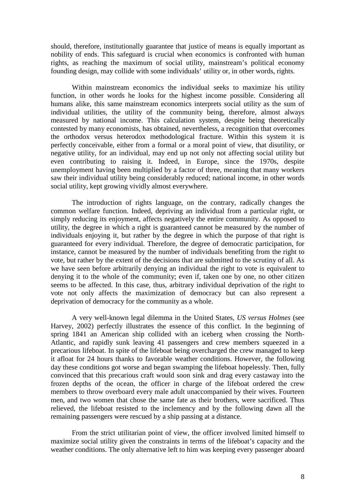should, therefore, institutionally guarantee that justice of means is equally important as nobility of ends. This safeguard is crucial when economics is confronted with human rights, as reaching the maximum of social utility, mainstream's political economy founding design, may collide with some individuals' utility or, in other words, rights.

 Within mainstream economics the individual seeks to maximize his utility function, in other words he looks for the highest income possible. Considering all humans alike, this same mainstream economics interprets social utility as the sum of individual utilities, the utility of the community being, therefore, almost always measured by national income. This calculation system, despite being theoretically contested by many economists, has obtained, nevertheless, a recognition that overcomes the orthodox versus heterodox methodological fracture. Within this system it is perfectly conceivable, either from a formal or a moral point of view, that disutility, or negative utility, for an individual, may end up not only not affecting social utility but even contributing to raising it. Indeed, in Europe, since the 1970s, despite unemployment having been multiplied by a factor of three, meaning that many workers saw their individual utility being considerably reduced; national income, in other words social utility, kept growing vividly almost everywhere.

 The introduction of rights language, on the contrary, radically changes the common welfare function. Indeed, depriving an individual from a particular right, or simply reducing its enjoyment, affects negatively the entire community. As opposed to utility, the degree in which a right is guaranteed cannot be measured by the number of individuals enjoying it, but rather by the degree in which the purpose of that right is guaranteed for every individual. Therefore, the degree of democratic participation, for instance, cannot be measured by the number of individuals benefiting from the right to vote, but rather by the extent of the decisions that are submitted to the scrutiny of all. As we have seen before arbitrarily denying an individual the right to vote is equivalent to denying it to the whole of the community; even if, taken one by one, no other citizen seems to be affected. In this case, thus, arbitrary individual deprivation of the right to vote not only affects the maximization of democracy but can also represent a deprivation of democracy for the community as a whole.

 A very well-known legal dilemma in the United States, *US versus Holmes* (see Harvey, 2002) perfectly illustrates the essence of this conflict. In the beginning of spring 1841 an American ship collided with an iceberg when crossing the North-Atlantic, and rapidly sunk leaving 41 passengers and crew members squeezed in a precarious lifeboat. In spite of the lifeboat being overcharged the crew managed to keep it afloat for 24 hours thanks to favorable weather conditions. However, the following day these conditions got worse and began swamping the lifeboat hopelessly. Then, fully convinced that this precarious craft would soon sink and drag every castaway into the frozen depths of the ocean, the officer in charge of the lifeboat ordered the crew members to throw overboard every male adult unaccompanied by their wives. Fourteen men, and two women that chose the same fate as their brothers, were sacrificed. Thus relieved, the lifeboat resisted to the inclemency and by the following dawn all the remaining passengers were rescued by a ship passing at a distance.

 From the strict utilitarian point of view, the officer involved limited himself to maximize social utility given the constraints in terms of the lifeboat's capacity and the weather conditions. The only alternative left to him was keeping every passenger aboard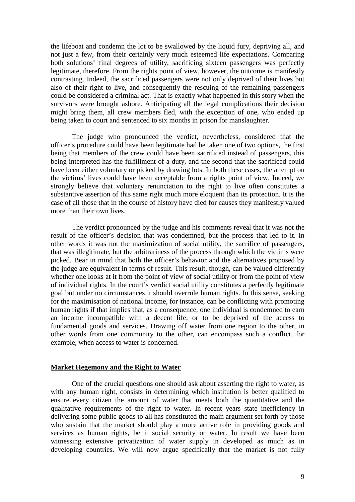the lifeboat and condemn the lot to be swallowed by the liquid fury, depriving all, and not just a few, from their certainly very much esteemed life expectations. Comparing both solutions' final degrees of utility, sacrificing sixteen passengers was perfectly legitimate, therefore. From the rights point of view, however, the outcome is manifestly contrasting. Indeed, the sacrificed passengers were not only deprived of their lives but also of their right to live, and consequently the rescuing of the remaining passengers could be considered a criminal act. That is exactly what happened in this story when the survivors were brought ashore. Anticipating all the legal complications their decision might bring them, all crew members fled, with the exception of one, who ended up being taken to court and sentenced to six months in prison for manslaughter.

 The judge who pronounced the verdict, nevertheless, considered that the officer's procedure could have been legitimate had he taken one of two options, the first being that members of the crew could have been sacrificed instead of passengers, this being interpreted has the fulfillment of a duty, and the second that the sacrificed could have been either voluntary or picked by drawing lots. In both these cases, the attempt on the victims' lives could have been acceptable from a rights point of view. Indeed, we strongly believe that voluntary renunciation to the right to live often constitutes a substantive assertion of this same right much more eloquent than its protection. It is the case of all those that in the course of history have died for causes they manifestly valued more than their own lives.

 The verdict pronounced by the judge and his comments reveal that it was not the result of the officer's decision that was condemned, but the process that led to it. In other words it was not the maximization of social utility, the sacrifice of passengers, that was illegitimate, but the arbitrariness of the process through which the victims were picked. Bear in mind that both the officer's behavior and the alternatives proposed by the judge are equivalent in terms of result. This result, though, can be valued differently whether one looks at it from the point of view of social utility or from the point of view of individual rights. In the court's verdict social utility constitutes a perfectly legitimate goal but under no circumstances it should overrule human rights. In this sense, seeking for the maximisation of national income, for instance, can be conflicting with promoting human rights if that implies that, as a consequence, one individual is condemned to earn an income incompatible with a decent life, or to be deprived of the access to fundamental goods and services. Drawing off water from one region to the other, in other words from one community to the other, can encompass such a conflict, for example, when access to water is concerned.

#### **Market Hegemony and the Right to Water**

 One of the crucial questions one should ask about asserting the right to water, as with any human right, consists in determining which institution is better qualified to ensure every citizen the amount of water that meets both the quantitative and the qualitative requirements of the right to water. In recent years state inefficiency in delivering some public goods to all has constituted the main argument set forth by those who sustain that the market should play a more active role in providing goods and services as human rights, be it social security or water. In result we have been witnessing extensive privatization of water supply in developed as much as in developing countries. We will now argue specifically that the market is not fully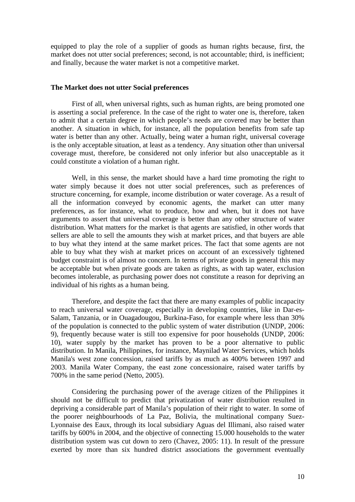equipped to play the role of a supplier of goods as human rights because, first, the market does not utter social preferences; second, is not accountable; third, is inefficient; and finally, because the water market is not a competitive market.

#### **The Market does not utter Social preferences**

 First of all, when universal rights, such as human rights, are being promoted one is asserting a social preference. In the case of the right to water one is, therefore, taken to admit that a certain degree in which people's needs are covered may be better than another. A situation in which, for instance, all the population benefits from safe tap water is better than any other. Actually, being water a human right, universal coverage is the only acceptable situation, at least as a tendency. Any situation other than universal coverage must, therefore, be considered not only inferior but also unacceptable as it could constitute a violation of a human right.

 Well, in this sense, the market should have a hard time promoting the right to water simply because it does not utter social preferences, such as preferences of structure concerning, for example, income distribution or water coverage. As a result of all the information conveyed by economic agents, the market can utter many preferences, as for instance, what to produce, how and when, but it does not have arguments to assert that universal coverage is better than any other structure of water distribution. What matters for the market is that agents are satisfied, in other words that sellers are able to sell the amounts they wish at market prices, and that buyers are able to buy what they intend at the same market prices. The fact that some agents are not able to buy what they wish at market prices on account of an excessively tightened budget constraint is of almost no concern. In terms of private goods in general this may be acceptable but when private goods are taken as rights, as with tap water, exclusion becomes intolerable, as purchasing power does not constitute a reason for depriving an individual of his rights as a human being.

 Therefore, and despite the fact that there are many examples of public incapacity to reach universal water coverage, especially in developing countries, like in Dar-es-Salam, Tanzania, or in Ouagadougou, Burkina-Faso, for example where less than 30% of the population is connected to the public system of water distribution (UNDP, 2006: 9), frequently because water is still too expensive for poor households (UNDP, 2006: 10), water supply by the market has proven to be a poor alternative to public distribution. In Manila, Philippines, for instance, Maynilad Water Services, which holds Manila's west zone concession, raised tariffs by as much as 400% between 1997 and 2003. Manila Water Company, the east zone concessionaire, raised water tariffs by 700% in the same period (Netto, 2005).

 Considering the purchasing power of the average citizen of the Philippines it should not be difficult to predict that privatization of water distribution resulted in depriving a considerable part of Manila's population of their right to water. In some of the poorer neighbourhoods of La Paz, Bolivia, the multinational company Suez-Lyonnaise des Eaux, through its local subsidiary Aguas del Illimani, also raised water tariffs by 600% in 2004, and the objective of connecting 15.000 households to the water distribution system was cut down to zero (Chavez, 2005: 11). In result of the pressure exerted by more than six hundred district associations the government eventually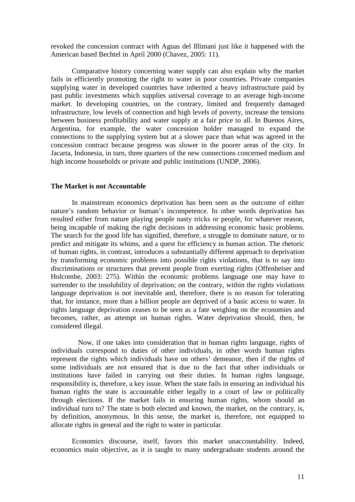revoked the concession contract with Aguas del Illimani just like it happened with the American based Bechtel in April 2000 (Chavez, 2005: 11).

 Comparative history concerning water supply can also explain why the market fails in efficiently promoting the right to water in poor countries. Private companies supplying water in developed countries have inherited a heavy infrastructure paid by past public investments which supplies universal coverage to an average high-income market. In developing countries, on the contrary, limited and frequently damaged infrastructure, low levels of connection and high levels of poverty, increase the tensions between business profitability and water supply at a fair price to all. In Buenos Aires, Argentina, for example, the water concession holder managed to expand the connections to the supplying system but at a slower pace than what was agreed in the concession contract because progress was slower in the poorer areas of the city. In Jacarta, Indonesia, in turn, three quarters of the new connections concerned medium and high income households or private and public institutions (UNDP, 2006).

## **The Market is not Accountable**

 In mainstream economics deprivation has been seen as the outcome of either nature's random behavior or human's incompetence. In other words deprivation has resulted either from nature playing people nasty tricks or people, for whatever reason, being incapable of making the right decisions in addressing economic basic problems. The search for the good life has signified, therefore, a struggle to dominate nature, or to predict and mitigate its whims, and a quest for efficiency in human action. The rhetoric of human rights, in contrast, introduces a substantially different approach to deprivation by transforming economic problems into possible rights violations, that is to say into discriminations or structures that prevent people from exerting rights (Offenheiser and Holcombe, 2003: 275). Within the economic problems language one may have to surrender to the insolubility of deprivation; on the contrary, within the rights violations language deprivation is not inevitable and, therefore, there is no reason for tolerating that, for instance, more than a billion people are deprived of a basic access to water. In rights language deprivation ceases to be seen as a fate weighing on the economies and becomes, rather, an attempt on human rights. Water deprivation should, then, be considered illegal.

 Now, if one takes into consideration that in human rights language, rights of individuals correspond to duties of other individuals, in other words human rights represent the rights which individuals have on others' demeanor, then if the rights of some individuals are not ensured that is due to the fact that other individuals or institutions have failed in carrying out their duties. In human rights language, responsibility is, therefore, a key issue. When the state fails in ensuring an individual his human rights the state is accountable either legally in a court of law or politically through elections. If the market fails in ensuring human rights, whom should an individual turn to? The state is both elected and known, the market, on the contrary, is, by definition, anonymous. In this sense, the market is, therefore, not equipped to allocate rights in general and the right to water in particular.

 Economics discourse, itself, favors this market unaccountability. Indeed, economics main objective, as it is taught to many undergraduate students around the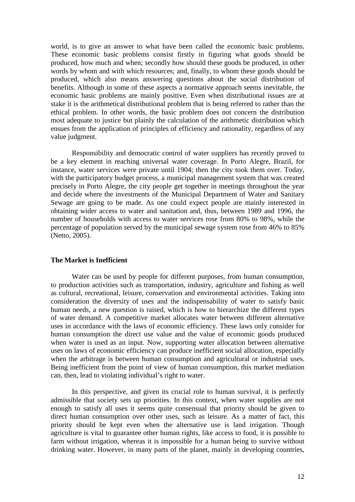world, is to give an answer to what have been called the economic basic problems. These economic basic problems consist firstly in figuring what goods should be produced, how much and when; secondly how should these goods be produced, in other words by whom and with which resources; and, finally, to whom these goods should be produced, which also means answering questions about the social distribution of benefits. Although in some of these aspects a normative approach seems inevitable, the economic basic problems are mainly positive. Even when distributional issues are at stake it is the arithmetical distributional problem that is being referred to rather than the ethical problem. In other words, the basic problem does not concern the distribution most adequate to justice but plainly the calculation of the arithmetic distribution which ensues from the application of principles of efficiency and rationality, regardless of any value judgment.

 Responsibility and democratic control of water suppliers has recently proved to be a key element in reaching universal water coverage. In Porto Alegre, Brazil, for instance, water services were private until 1904; then the city took them over. Today, with the participatory budget process, a municipal management system that was created precisely in Porto Alegre, the city people get together in meetings throughout the year and decide where the investments of the Municipal Department of Water and Sanitary Sewage are going to be made. As one could expect people are mainly interested in obtaining wider access to water and sanitation and, thus, between 1989 and 1996, the number of households with access to water services rose from 80% to 98%, while the percentage of population served by the municipal sewage system rose from 46% to 85% (Netto, 2005).

#### **The Market is Inefficient**

 Water can be used by people for different purposes, from human consumption, to production activities such as transportation, industry, agriculture and fishing as well as cultural, recreational, leisure, conservation and environmental activities. Taking into consideration the diversity of uses and the indispensability of water to satisfy basic human needs, a new question is raised, which is how to hierarchize the different types of water demand. A competitive market allocates water between different alternative uses in accordance with the laws of economic efficiency. These laws only consider for human consumption the direct use value and the value of economic goods produced when water is used as an input. Now, supporting water allocation between alternative uses on laws of economic efficiency can produce inefficient social allocation, especially when the arbitrage is between human consumption and agricultural or industrial uses. Being inefficient from the point of view of human consumption, this market mediation can, then, lead to violating individual's right to water.

 In this perspective, and given its crucial role to human survival, it is perfectly admissible that society sets up priorities. In this context, when water supplies are not enough to satisfy all uses it seems quite consensual that priority should be given to direct human consumption over other uses, such as leisure. As a matter of fact, this priority should be kept even when the alternative use is land irrigation. Though agriculture is vital to guarantee other human rights, like access to food, it is possible to farm without irrigation, whereas it is impossible for a human being to survive without drinking water. However, in many parts of the planet, mainly in developing countries,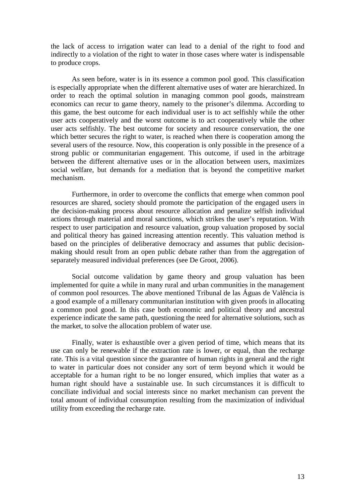the lack of access to irrigation water can lead to a denial of the right to food and indirectly to a violation of the right to water in those cases where water is indispensable to produce crops.

 As seen before, water is in its essence a common pool good. This classification is especially appropriate when the different alternative uses of water are hierarchized. In order to reach the optimal solution in managing common pool goods, mainstream economics can recur to game theory, namely to the prisoner's dilemma. According to this game, the best outcome for each individual user is to act selfishly while the other user acts cooperatively and the worst outcome is to act cooperatively while the other user acts selfishly. The best outcome for society and resource conservation, the one which better secures the right to water, is reached when there is cooperation among the several users of the resource. Now, this cooperation is only possible in the presence of a strong public or communitarian engagement. This outcome, if used in the arbitrage between the different alternative uses or in the allocation between users, maximizes social welfare, but demands for a mediation that is beyond the competitive market mechanism.

 Furthermore, in order to overcome the conflicts that emerge when common pool resources are shared, society should promote the participation of the engaged users in the decision-making process about resource allocation and penalize selfish individual actions through material and moral sanctions, which strikes the user's reputation. With respect to user participation and resource valuation, group valuation proposed by social and political theory has gained increasing attention recently. This valuation method is based on the principles of deliberative democracy and assumes that public decisionmaking should result from an open public debate rather than from the aggregation of separately measured individual preferences (see De Groot, 2006).

 Social outcome validation by game theory and group valuation has been implemented for quite a while in many rural and urban communities in the management of common pool resources. The above mentioned Tribunal de las Águas de Valência is a good example of a millenary communitarian institution with given proofs in allocating a common pool good. In this case both economic and political theory and ancestral experience indicate the same path, questioning the need for alternative solutions, such as the market, to solve the allocation problem of water use.

 Finally, water is exhaustible over a given period of time, which means that its use can only be renewable if the extraction rate is lower, or equal, than the recharge rate. This is a vital question since the guarantee of human rights in general and the right to water in particular does not consider any sort of term beyond which it would be acceptable for a human right to be no longer ensured, which implies that water as a human right should have a sustainable use. In such circumstances it is difficult to conciliate individual and social interests since no market mechanism can prevent the total amount of individual consumption resulting from the maximization of individual utility from exceeding the recharge rate.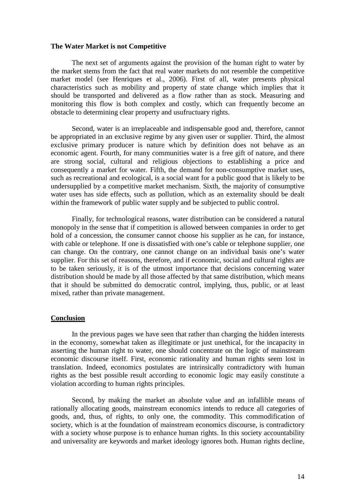#### **The Water Market is not Competitive**

 The next set of arguments against the provision of the human right to water by the market stems from the fact that real water markets do not resemble the competitive market model (see Henriques et al., 2006). First of all, water presents physical characteristics such as mobility and property of state change which implies that it should be transported and delivered as a flow rather than as stock. Measuring and monitoring this flow is both complex and costly, which can frequently become an obstacle to determining clear property and usufructuary rights.

 Second, water is an irreplaceable and indispensable good and, therefore, cannot be appropriated in an exclusive regime by any given user or supplier. Third, the almost exclusive primary producer is nature which by definition does not behave as an economic agent. Fourth, for many communities water is a free gift of nature, and there are strong social, cultural and religious objections to establishing a price and consequently a market for water. Fifth, the demand for non-consumptive market uses, such as recreational and ecological, is a social want for a public good that is likely to be undersupplied by a competitive market mechanism. Sixth, the majority of consumptive water uses has side effects, such as pollution, which as an externality should be dealt within the framework of public water supply and be subjected to public control.

 Finally, for technological reasons, water distribution can be considered a natural monopoly in the sense that if competition is allowed between companies in order to get hold of a concession, the consumer cannot choose his supplier as he can, for instance, with cable or telephone. If one is dissatisfied with one's cable or telephone supplier, one can change. On the contrary, one cannot change on an individual basis one's water supplier. For this set of reasons, therefore, and if economic, social and cultural rights are to be taken seriously, it is of the utmost importance that decisions concerning water distribution should be made by all those affected by that same distribution, which means that it should be submitted do democratic control, implying, thus, public, or at least mixed, rather than private management.

#### **Conclusion**

 In the previous pages we have seen that rather than charging the hidden interests in the economy, somewhat taken as illegitimate or just unethical, for the incapacity in asserting the human right to water, one should concentrate on the logic of mainstream economic discourse itself. First, economic rationality and human rights seem lost in translation. Indeed, economics postulates are intrinsically contradictory with human rights as the best possible result according to economic logic may easily constitute a violation according to human rights principles.

 Second, by making the market an absolute value and an infallible means of rationally allocating goods, mainstream economics intends to reduce all categories of goods, and, thus, of rights, to only one, the commodity. This commodification of society, which is at the foundation of mainstream economics discourse, is contradictory with a society whose purpose is to enhance human rights. In this society accountability and universality are keywords and market ideology ignores both. Human rights decline,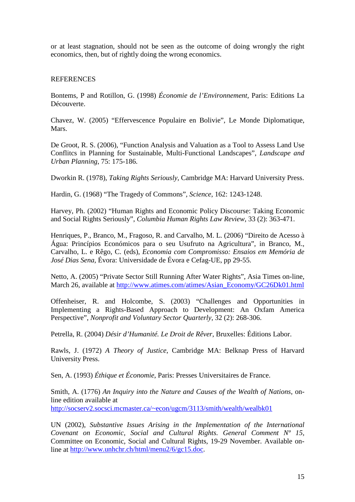or at least stagnation, should not be seen as the outcome of doing wrongly the right economics, then, but of rightly doing the wrong economics.

## REFERENCES

Bontems, P and Rotillon, G. (1998) *Économie de l'Environnement,* Paris: Editions La Découverte.

Chavez, W. (2005) "Effervescence Populaire en Bolivie", Le Monde Diplomatique, Mars.

De Groot, R. S. (2006), "Function Analysis and Valuation as a Tool to Assess Land Use Conflitcs in Planning for Sustainable, Multi-Functional Landscapes", *Landscape and Urban Planning*, 75: 175-186.

Dworkin R. (1978), *Taking Rights Seriously*, Cambridge MA: Harvard University Press.

Hardin, G. (1968) "The Tragedy of Commons"*, Science*, 162: 1243-1248.

Harvey, Ph. (2002) "Human Rights and Economic Policy Discourse: Taking Economic and Social Rights Seriously", *Columbia Human Rights Law Review*, 33 (2): 363-471.

Henriques, P., Branco, M., Fragoso, R. and Carvalho, M. L. (2006) "Direito de Acesso à Água: Princípios Económicos para o seu Usufruto na Agricultura", in Branco, M., Carvalho, L. e Rêgo, C. (eds), *Economia com Compromisso: Ensaios em Memória de José Dias Sena,* Évora: Universidade de Évora e Cefag-UE, pp 29-55.

Netto, A. (2005) "Private Sector Still Running After Water Rights", Asia Times on-line, March 26, available at http://www.atimes.com/atimes/Asian\_Economy/GC26Dk01.html

Offenheiser, R. and Holcombe, S. (2003) "Challenges and Opportunities in Implementing a Rights-Based Approach to Development: An Oxfam America Perspective", *Nonprofit and Voluntary Sector Quarterly*, 32 (2): 268-306.

Petrella, R. (2004) *Désir d'Humanité. Le Droit de Rêver*, Bruxelles: Éditions Labor.

Rawls, J. (1972) *A Theory of Justice*, Cambridge MA: Belknap Press of Harvard University Press.

Sen, A. (1993) *Éthique et Économie*, Paris: Presses Universitaires de France.

Smith, A. (1776) *An Inquiry into the Nature and Causes of the Wealth of Nations*, online edition available at http://socserv2.socsci.mcmaster.ca/~econ/ugcm/3113/smith/wealth/wealbk01

UN (2002), *Substantive Issues Arising in the Implementation of the International Covenant on Economic, Social and Cultural Rights. General Comment Nº 15,*  Committee on Economic, Social and Cultural Rights, 19-29 November. Available online at http://www.unhchr.ch/html/menu2/6/gc15.doc.